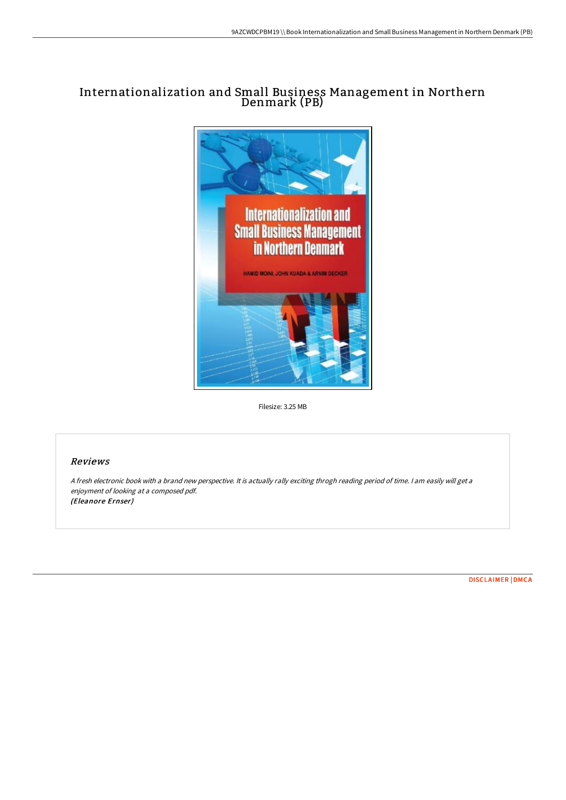## Internationalization and Small Business Management in Northern Denmark (PB)



Filesize: 3.25 MB

## Reviews

<sup>A</sup> fresh electronic book with <sup>a</sup> brand new perspective. It is actually rally exciting throgh reading period of time. <sup>I</sup> am easily will get <sup>a</sup> enjoyment of looking at <sup>a</sup> composed pdf. (Eleanore Ernser)

[DISCLAIMER](http://techno-pub.tech/disclaimer.html) | [DMCA](http://techno-pub.tech/dmca.html)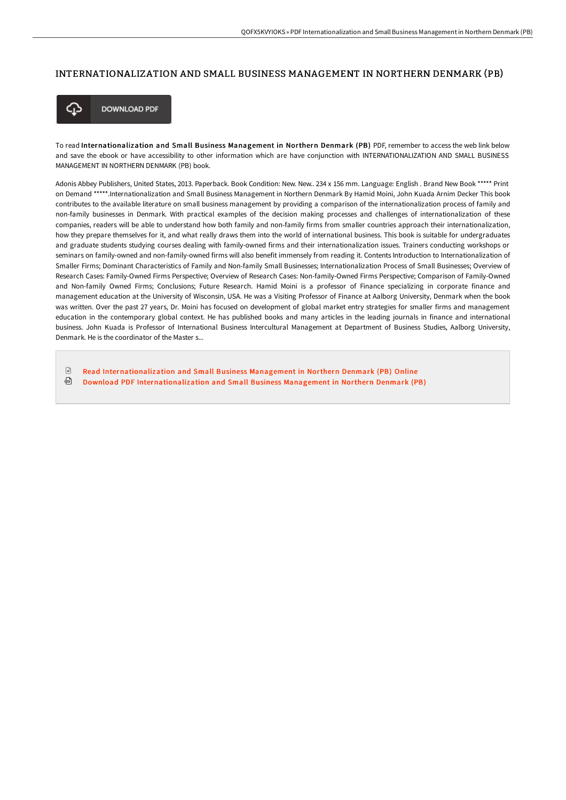## INTERNATIONALIZATION AND SMALL BUSINESS MANAGEMENT IN NORTHERN DENMARK (PB)



**DOWNLOAD PDF** 

To read Internationalization and Small Business Management in Northern Denmark (PB) PDF, remember to access the web link below and save the ebook or have accessibility to other information which are have conjunction with INTERNATIONALIZATION AND SMALL BUSINESS MANAGEMENT IN NORTHERN DENMARK (PB) book.

Adonis Abbey Publishers, United States, 2013. Paperback. Book Condition: New. New.. 234 x 156 mm. Language: English . Brand New Book \*\*\*\*\* Print on Demand \*\*\*\*\*.Internationalization and Small Business Management in Northern Denmark By Hamid Moini, John Kuada Arnim Decker This book contributes to the available literature on small business management by providing a comparison of the internationalization process of family and non-family businesses in Denmark. With practical examples of the decision making processes and challenges of internationalization of these companies, readers will be able to understand how both family and non-family firms from smaller countries approach their internationalization, how they prepare themselves for it, and what really draws them into the world of international business. This book is suitable for undergraduates and graduate students studying courses dealing with family-owned firms and their internationalization issues. Trainers conducting workshops or seminars on family-owned and non-family-owned firms will also benefit immensely from reading it. Contents Introduction to Internationalization of Smaller Firms; Dominant Characteristics of Family and Non-family Small Businesses; Internationalization Process of Small Businesses; Overview of Research Cases: Family-Owned Firms Perspective; Overview of Research Cases: Non-family-Owned Firms Perspective; Comparison of Family-Owned and Non-family Owned Firms; Conclusions; Future Research. Hamid Moini is a professor of Finance specializing in corporate finance and management education at the University of Wisconsin, USA. He was a Visiting Professor of Finance at Aalborg University, Denmark when the book was written. Over the past 27 years, Dr. Moini has focused on development of global market entry strategies for smaller firms and management education in the contemporary global context. He has published books and many articles in the leading journals in finance and international business. John Kuada is Professor of International Business Intercultural Management at Department of Business Studies, Aalborg University, Denmark. He is the coordinator of the Master s.

 $\mathbb{R}$ Read [Internationalization](http://techno-pub.tech/internationalization-and-small-business-manageme.html) and Small Business Management in Northern Denmark (PB) Online ⊕ Download PDF [Internationalization](http://techno-pub.tech/internationalization-and-small-business-manageme.html) and Small Business Management in Northern Denmark (PB)